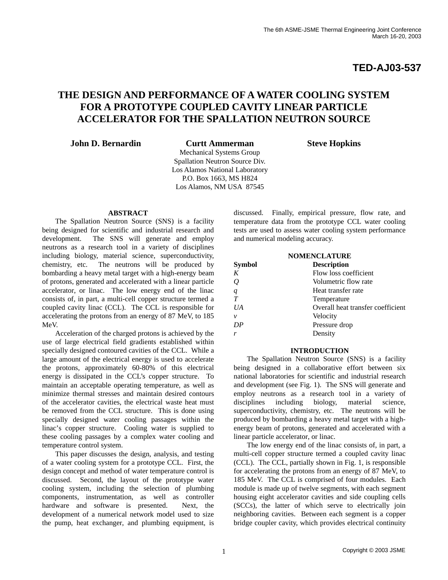**TED-AJ03-537**

# **THE DESIGN AND PERFORMANCE OF A WATER COOLING SYSTEM FOR A PROTOTYPE COUPLED CAVITY LINEAR PARTICLE ACCELERATOR FOR THE SPALLATION NEUTRON SOURCE**

**John D. Bernardin Curtt Ammerman Steve Hopkins**

Mechanical Systems Group Spallation Neutron Source Div. Los Alamos National Laboratory P.O. Box 1663, MS H824 Los Alamos, NM USA 87545

# **ABSTRACT**

The Spallation Neutron Source (SNS) is a facility being designed for scientific and industrial research and development. The SNS will generate and employ neutrons as a research tool in a variety of disciplines including biology, material science, superconductivity, chemistry, etc. The neutrons will be produced by bombarding a heavy metal target with a high-energy beam of protons, generated and accelerated with a linear particle accelerator, or linac. The low energy end of the linac consists of, in part, a multi-cell copper structure termed a coupled cavity linac (CCL). The CCL is responsible for accelerating the protons from an energy of 87 MeV, to 185 MeV.

Acceleration of the charged protons is achieved by the use of large electrical field gradients established within specially designed contoured cavities of the CCL. While a large amount of the electrical energy is used to accelerate the protons, approximately 60-80% of this electrical energy is dissipated in the CCL's copper structure. To maintain an acceptable operating temperature, as well as minimize thermal stresses and maintain desired contours of the accelerator cavities, the electrical waste heat must be removed from the CCL structure. This is done using specially designed water cooling passages within the linac's copper structure. Cooling water is supplied to these cooling passages by a complex water cooling and temperature control system.

This paper discusses the design, analysis, and testing of a water cooling system for a prototype CCL. First, the design concept and method of water temperature control is discussed. Second, the layout of the prototype water cooling system, including the selection of plumbing components, instrumentation, as well as controller hardware and software is presented. Next, the development of a numerical network model used to size the pump, heat exchanger, and plumbing equipment, is discussed. Finally, empirical pressure, flow rate, and temperature data from the prototype CCL water cooling tests are used to assess water cooling system performance and numerical modeling accuracy.

| <b>NOMENCLATURE</b> |                                   |  |  |
|---------------------|-----------------------------------|--|--|
| <b>Symbol</b>       | <b>Description</b>                |  |  |
| K                   | Flow loss coefficient             |  |  |
| $\mathcal{Q}$       | Volumetric flow rate              |  |  |
| q                   | Heat transfer rate                |  |  |
| T                   | Temperature                       |  |  |
| $U$ A               | Overall heat transfer coefficient |  |  |
| v                   | Velocity                          |  |  |
| DP                  | Pressure drop                     |  |  |
|                     | Density                           |  |  |

# **INTRODUCTION**

The Spallation Neutron Source (SNS) is a facility being designed in a collaborative effort between six national laboratories for scientific and industrial research and development (see Fig. 1). The SNS will generate and employ neutrons as a research tool in a variety of disciplines including biology, material science, superconductivity, chemistry, etc. The neutrons will be produced by bombarding a heavy metal target with a highenergy beam of protons, generated and accelerated with a linear particle accelerator, or linac.

The low energy end of the linac consists of, in part, a multi-cell copper structure termed a coupled cavity linac (CCL). The CCL, partially shown in Fig. 1, is responsible for accelerating the protons from an energy of 87 MeV, to 185 MeV. The CCL is comprised of four modules. Each module is made up of twelve segments, with each segment housing eight accelerator cavities and side coupling cells (SCCs), the latter of which serve to electrically join neighboring cavities. Between each segment is a copper bridge coupler cavity, which provides electrical continuity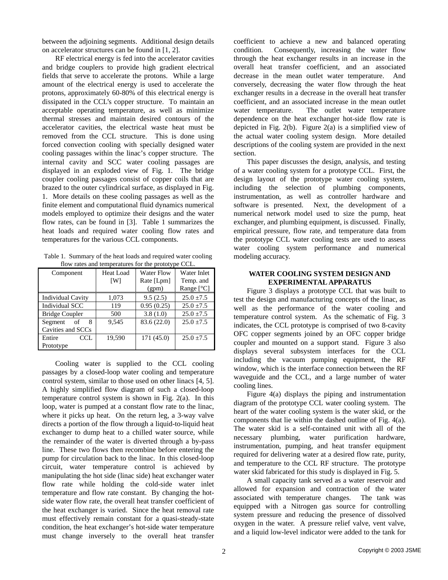between the adjoining segments. Additional design details on accelerator structures can be found in [1, 2].

RF electrical energy is fed into the accelerator cavities and bridge couplers to provide high gradient electrical fields that serve to accelerate the protons. While a large amount of the electrical energy is used to accelerate the protons, approximately 60-80% of this electrical energy is dissipated in the CCL's copper structure. To maintain an acceptable operating temperature, as well as minimize thermal stresses and maintain desired contours of the accelerator cavities, the electrical waste heat must be removed from the CCL structure. This is done using forced convection cooling with specially designed water cooling passages within the linac's copper structure. The internal cavity and SCC water cooling passages are displayed in an exploded view of Fig. 1. The bridge coupler cooling passages consist of copper coils that are brazed to the outer cylindrical surface, as displayed in Fig. 1. More details on these cooling passages as well as the finite element and computational fluid dynamics numerical models employed to optimize their designs and the water flow rates, can be found in [3]. Table 1 summarizes the heat loads and required water cooling flow rates and temperatures for the various CCL components.

Table 1. Summary of the heat loads and required water cooling flow rates and temperatures for the prototype CCL.

| now rates and temperatures for the prototype ecu. |                  |                   |                |  |
|---------------------------------------------------|------------------|-------------------|----------------|--|
| Component                                         | <b>Heat Load</b> | <b>Water Flow</b> |                |  |
|                                                   | [W]              | Rate [Lpm]        | Temp. and      |  |
|                                                   |                  | (gpm)             | Range $[°C]$   |  |
| <b>Individual Cavity</b>                          | 1,073            | 9.5(2.5)          | $25.0 \pm 7.5$ |  |
| Individual SCC                                    | 119              | 0.95(0.25)        | $25.0 \pm 7.5$ |  |
| <b>Bridge Coupler</b>                             | 500              | 3.8(1.0)          | $25.0 \pm 7.5$ |  |
| Segment<br>8<br>of                                | 9.545            | 83.6 (22.0)       | $25.0 + 7.5$   |  |
| Cavities and SCCs                                 |                  |                   |                |  |
| Entire<br>CCL.                                    | 19.590           | 171 (45.0)        | $25.0 + 7.5$   |  |
| Prototype                                         |                  |                   |                |  |

Cooling water is supplied to the CCL cooling passages by a closed-loop water cooling and temperature control system, similar to those used on other linacs [4, 5]. A highly simplified flow diagram of such a closed-loop temperature control system is shown in Fig. 2(a). In this loop, water is pumped at a constant flow rate to the linac, where it picks up heat. On the return leg, a 3-way valve directs a portion of the flow through a liquid-to-liquid heat exchanger to dump heat to a chilled water source, while the remainder of the water is diverted through a by-pass line. These two flows then recombine before entering the pump for circulation back to the linac. In this closed-loop circuit, water temperature control is achieved by manipulating the hot side (linac side) heat exchanger water flow rate while holding the cold-side water inlet temperature and flow rate constant. By changing the hotside water flow rate, the overall heat transfer coefficient of the heat exchanger is varied. Since the heat removal rate must effectively remain constant for a quasi-steady-state condition, the heat exchanger's hot-side water temperature must change inversely to the overall heat transfer coefficient to achieve a new and balanced operating condition. Consequently, increasing the water flow through the heat exchanger results in an increase in the overall heat transfer coefficient, and an associated decrease in the mean outlet water temperature. And conversely, decreasing the water flow through the heat exchanger results in a decrease in the overall heat transfer coefficient, and an associated increase in the mean outlet water temperature. The outlet water temperature dependence on the heat exchanger hot-side flow rate is depicted in Fig. 2(b). Figure 2(a) is a simplified view of the actual water cooling system design. More detailed descriptions of the cooling system are provided in the next section.

This paper discusses the design, analysis, and testing of a water cooling system for a prototype CCL. First, the design layout of the prototype water cooling system, including the selection of plumbing components, instrumentation, as well as controller hardware and software is presented. Next, the development of a numerical network model used to size the pump, heat exchanger, and plumbing equipment, is discussed. Finally, empirical pressure, flow rate, and temperature data from the prototype CCL water cooling tests are used to assess water cooling system performance and numerical modeling accuracy.

# **WATER COOLING SYSTEM DESIGN AND EXPERIMENTAL APPARATUS**

Figure 3 displays a prototype CCL that was built to test the design and manufacturing concepts of the linac, as well as the performance of the water cooling and temperature control system. As the schematic of Fig. 3 indicates, the CCL prototype is comprised of two 8-cavity OFC copper segments joined by an OFC copper bridge coupler and mounted on a support stand. Figure 3 also displays several subsystem interfaces for the CCL including the vacuum pumping equipment, the RF window, which is the interface connection between the RF waveguide and the CCL, and a large number of water cooling lines.

Figure 4(a) displays the piping and instrumentation diagram of the prototype CCL water cooling system. The heart of the water cooling system is the water skid, or the components that lie within the dashed outline of Fig. 4(a). The water skid is a self-contained unit with all of the necessary plumbing, water purification hardware, instrumentation, pumping, and heat transfer equipment required for delivering water at a desired flow rate, purity, and temperature to the CCL RF structure. The prototype water skid fabricated for this study is displayed in Fig. 5.

A small capacity tank served as a water reservoir and allowed for expansion and contraction of the water associated with temperature changes. The tank was equipped with a Nitrogen gas source for controlling system pressure and reducing the presence of dissolved oxygen in the water. A pressure relief valve, vent valve, and a liquid low-level indicator were added to the tank for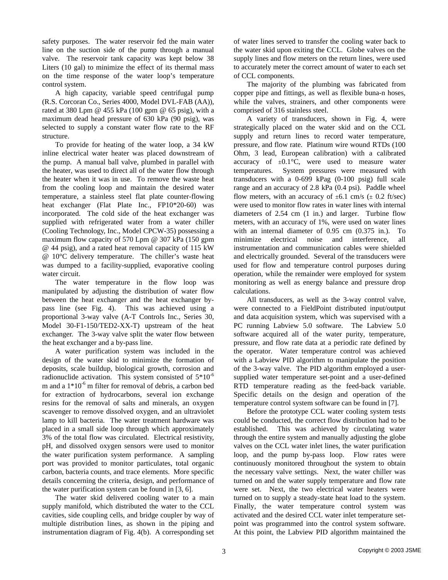safety purposes. The water reservoir fed the main water line on the suction side of the pump through a manual valve. The reservoir tank capacity was kept below 38 Liters (10 gal) to minimize the effect of its thermal mass on the time response of the water loop's temperature control system.

A high capacity, variable speed centrifugal pump (R.S. Corcoran Co., Series 4000, Model DVL-FAB (AA)), rated at 380 Lpm @ 455 kPa (100 gpm @ 65 psig), with a maximum dead head pressure of 630 kPa (90 psig), was selected to supply a constant water flow rate to the RF structure.

To provide for heating of the water loop, a 34 kW inline electrical water heater was placed downstream of the pump. A manual ball valve, plumbed in parallel with the heater, was used to direct all of the water flow through the heater when it was in use. To remove the waste heat from the cooling loop and maintain the desired water temperature, a stainless steel flat plate counter-flowing heat exchanger (Flat Plate Inc., FP10\*20-60) was incorporated. The cold side of the heat exchanger was supplied with refrigerated water from a water chiller (Cooling Technology, Inc., Model CPCW-35) possessing a maximum flow capacity of 570 Lpm @ 307 kPa (150 gpm @ 44 psig), and a rated heat removal capacity of 115 kW @ 10°C delivery temperature. The chiller's waste heat was dumped to a facility-supplied, evaporative cooling water circuit.

The water temperature in the flow loop was manipulated by adjusting the distribution of water flow between the heat exchanger and the heat exchanger bypass line (see Fig. 4). This was achieved using a proportional 3-way valve (A-T Controls Inc., Series 30, Model 30-F1-150/TED2-XX-T) upstream of the heat exchanger. The 3-way valve split the water flow between the heat exchanger and a by-pass line.

A water purification system was included in the design of the water skid to minimize the formation of deposits, scale buildup, biological growth, corrosion and radionuclide activation. This system consisted of  $5*10^{-6}$ m and a  $1*10^{-6}$  m filter for removal of debris, a carbon bed for extraction of hydrocarbons, several ion exchange resins for the removal of salts and minerals, an oxygen scavenger to remove dissolved oxygen, and an ultraviolet lamp to kill bacteria. The water treatment hardware was placed in a small side loop through which approximately 3% of the total flow was circulated. Electrical resistivity, pH, and dissolved oxygen sensors were used to monitor the water purification system performance. A sampling port was provided to monitor particulates, total organic carbon, bacteria counts, and trace elements. More specific details concerning the criteria, design, and performance of the water purification system can be found in [3, 6].

The water skid delivered cooling water to a main supply manifold, which distributed the water to the CCL cavities, side coupling cells, and bridge coupler by way of multiple distribution lines, as shown in the piping and instrumentation diagram of Fig. 4(b). A corresponding set

of water lines served to transfer the cooling water back to the water skid upon exiting the CCL. Globe valves on the supply lines and flow meters on the return lines, were used to accurately meter the correct amount of water to each set of CCL components.

The majority of the plumbing was fabricated from copper pipe and fittings, as well as flexible buna-n hoses, while the valves, strainers, and other components were comprised of 316 stainless steel.

A variety of transducers, shown in Fig. 4, were strategically placed on the water skid and on the CCL supply and return lines to record water temperature, pressure, and flow rate. Platinum wire wound RTDs (100 Ohm, 3 lead, European calibration) with a calibrated accuracy of  $\pm 0.1^{\circ}$ C, were used to measure water temperatures. System pressures were measured with transducers with a 0-699 kPag (0-100 psig) full scale range and an accuracy of 2.8 kPa (0.4 psi). Paddle wheel flow meters, with an accuracy of  $\pm 6.1$  cm/s ( $\pm$  0.2 ft/sec) were used to monitor flow rates in water lines with internal diameters of 2.54 cm (1 in.) and larger. Turbine flow meters, with an accuracy of 1%, were used on water lines with an internal diameter of 0.95 cm (0.375 in.). To minimize electrical noise and interference, all instrumentation and communication cables were shielded and electrically grounded. Several of the transducers were used for flow and temperature control purposes during operation, while the remainder were employed for system monitoring as well as energy balance and pressure drop calculations.

All transducers, as well as the 3-way control valve, were connected to a FieldPoint distributed input/output and data acquisition system, which was supervised with a PC running Labview 5.0 software. The Labview 5.0 software acquired all of the water purity, temperature, pressure, and flow rate data at a periodic rate defined by the operator. Water temperature control was achieved with a Labview PID algorithm to manipulate the position of the 3-way valve. The PID algorithm employed a usersupplied water temperature set-point and a user-defined RTD temperature reading as the feed-back variable. Specific details on the design and operation of the temperature control system software can be found in [7].

Before the prototype CCL water cooling system tests could be conducted, the correct flow distribution had to be established. This was achieved by circulating water through the entire system and manually adjusting the globe valves on the CCL water inlet lines, the water purification loop, and the pump by-pass loop. Flow rates were continuously monitored throughout the system to obtain the necessary valve settings. Next, the water chiller was turned on and the water supply temperature and flow rate were set. Next, the two electrical water heaters were turned on to supply a steady-state heat load to the system. Finally, the water temperature control system was activated and the desired CCL water inlet temperature setpoint was programmed into the control system software. At this point, the Labview PID algorithm maintained the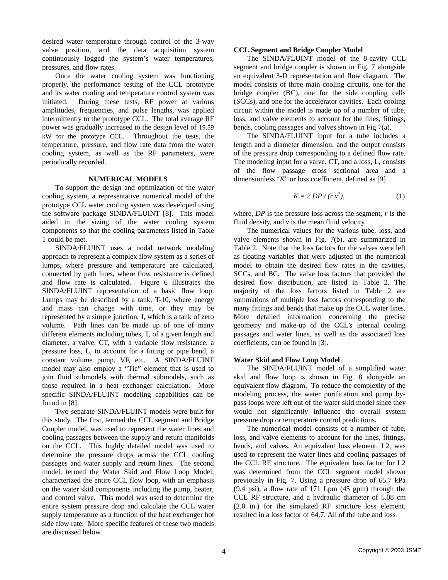desired water temperature through control of the 3-way valve position, and the data acquisition system continuously logged the system's water temperatures, pressures, and flow rates.

Once the water cooling system was functioning properly, the performance testing of the CCL prototype and its water cooling and temperature control system was initiated. During these tests, RF power at various amplitudes, frequencies, and pulse lengths, was applied intermittently to the prototype CCL. The total average RF power was gradually increased to the design level of 19.59 kW for the prototype CCL. Throughout the tests, the temperature, pressure, and flow rate data from the water cooling system, as well as the RF parameters, were periodically recorded.

#### **NUMERICAL MODELS**

To support the design and optimization of the water cooling system, a representative numerical model of the prototype CCL water cooling system was developed using the software package SINDA/FLUINT [8]. This model aided in the sizing of the water cooling system components so that the cooling parameters listed in Table 1 could be met.

SINDA/FLUINT uses a nodal network modeling approach to represent a complex flow system as a series of lumps, where pressure and temperature are calculated, connected by path lines, where flow resistance is defined and flow rate is calculated. Figure 6 illustrates the SINDA/FLUINT representation of a basic flow loop. Lumps may be described by a tank, T-10, where energy and mass can change with time, or they may be represented by a simple junction, J, which is a tank of zero volume. Path lines can be made up of one of many different elements including tubes, T, of a given length and diameter, a valve, CT, with a variable flow resistance, a pressure loss, L, to account for a fitting or pipe bend, a constant volume pump, VF, etc. A SINDA/FLUINT model may also employ a "Tie" element that is used to join fluid submodels with thermal submodels, such as those required in a heat exchanger calculation. More specific SINDA/FLUINT modeling capabilities can be found in [8].

Two separate SINDA/FLUINT models were built for this study. The first, termed the CCL segment and Bridge Coupler model, was used to represent the water lines and cooling passages between the supply and return manifolds on the CCL. This highly detailed model was used to determine the pressure drops across the CCL cooling passages and water supply and return lines. The second model, termed the Water Skid and Flow Loop Model, characterized the entire CCL flow loop, with an emphasis on the water skid components including the pump, heater, and control valve. This model was used to determine the entire system pressure drop and calculate the CCL water supply temperature as a function of the heat exchanger hot side flow rate. More specific features of these two models are discussed below.

#### **CCL Segment and Bridge Coupler Model**

The SINDA/FLUINT model of the 8-cavity CCL segment and bridge coupler is shown in Fig. 7 alongside an equivalent 3-D representation and flow diagram. The model consists of three main cooling circuits, one for the bridge coupler (BC), one for the side coupling cells (SCCs), and one for the accelerator cavities. Each cooling circuit within the model is made up of a number of tube, loss, and valve elements to account for the lines, fittings, bends, cooling passages and valves shown in Fig 7(a).

The SINDA/FLUINT input for a tube includes a length and a diameter dimension, and the output consists of the pressure drop corresponding to a defined flow rate. The modeling input for a valve, CT, and a loss, L, consists of the flow passage cross sectional area and a dimensionless "*K*" or loss coefficient, defined as [9]

$$
K = 2 DP / (r v2), \tag{1}
$$

where, *DP* is the pressure loss across the segment, *r* is the fluid density, and  $\nu$  is the mean fluid velocity.

The numerical values for the various tube, loss, and valve elements shown in Fig. 7(b), are summarized in Table 2. Note that the loss factors for the valves were left as floating variables that were adjusted in the numerical model to obtain the desired flow rates in the cavities, SCCs, and BC. The valve loss factors that provided the desired flow distribution, are listed in Table 2. The majority of the loss factors listed in Table 2 are summations of multiple loss factors corresponding to the many fittings and bends that make up the CCL water lines. More detailed information concerning the precise geometry and make-up of the CCL's internal cooling passages and water lines, as well as the associated loss coefficients, can be found in [3].

#### **Water Skid and Flow Loop Model**

The SINDA/FLUINT model of a simplified water skid and flow loop is shown in Fig. 8 alongside an equivalent flow diagram. To reduce the complexity of the modeling process, the water purification and pump bypass loops were left out of the water skid model since they would not significantly influence the overall system pressure drop or temperature control predictions.

The numerical model consists of a number of tube, loss, and valve elements to account for the lines, fittings, bends, and valves. An equivalent loss element, L2, was used to represent the water lines and cooling passages of the CCL RF structure. The equivalent loss factor for L2 was determined from the CCL segment model shown previously in Fig. 7. Using a pressure drop of 65.7 kPa (9.4 psi), a flow rate of 171 Lpm (45 gpm) through the CCL RF structure, and a hydraulic diameter of 5.08 cm (2.0 in.) for the simulated RF structure loss element, resulted in a loss factor of 64.7. All of the tube and loss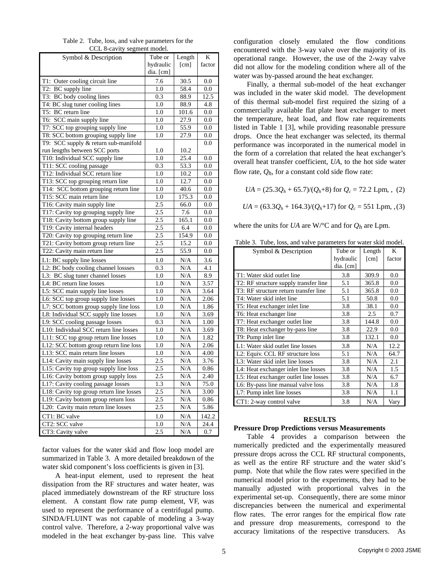| Table 2. Tube, loss, and valve parameters for the |
|---------------------------------------------------|
| CCL 8-cavity segment model.                       |

| Symbol & Description                     | Tube or          | Length                         | K                |
|------------------------------------------|------------------|--------------------------------|------------------|
|                                          | hydraulic        | [cm]                           | factor           |
|                                          | dia. [cm]        |                                |                  |
| T1: Outer cooling circuit line           | 7.6              | 30.5                           | 0.0              |
| T2: BC supply line                       | 1.0              | 58.4                           | 0.0              |
| T3: BC body cooling lines                | 0.3              | 88.9                           | 12.5             |
| T4: BC slug tuner cooling lines          | 1.0              | 88.9                           | 4.8              |
| T5: BC return line                       | 1.0              | 101.6                          | 0.0              |
| T6: SCC main supply line                 | 1.0              | 27.9                           | 0.0              |
| T7: SCC top grouping supply line         | 1.0              | 55.9                           | 0.0              |
| T8: SCC bottom grouping supply line      | 1.0              | 27.9                           | 0.0              |
| T9: SCC supply & return sub-manifold     |                  |                                | 0.0              |
| run lengths between SCC ports            | 1.0              | 10.2                           |                  |
| T10: Individual SCC supply line          | 1.0              | 25.4                           | 0.0              |
| T11: SCC cooling passage                 | 0.3              | 53.3                           | 0.0              |
| T12: Individual SCC return line          | 1.0              | 10.2                           | 0.0              |
| T13: SCC top grouping return line        | 1.0              | 12.7                           | 0.0              |
| T14: SCC bottom grouping return line     | 1.0              | 40.6                           | 0.0              |
| T15: SCC main return line                | 1.0              | 175.3                          | 0.0              |
| T16: Cavity main supply line             | 2.5              | 66.0                           | 0.0              |
| T17: Cavity top grouping supply line     | 2.5              | 7.6                            | 0.0              |
| T18: Cavity bottom group supply line     | 2.5              | 165.1                          | 0.0              |
| T19: Cavity internal headers             | 2.5              | 6.4                            | 0.0              |
| T20: Cavity top grouping return line     | $\overline{2.5}$ | 154.9                          | 0.0              |
| T21: Cavity bottom group return line     | 2.5              | 15.2                           | 0.0              |
| T22: Cavity main return line             | 2.5              | 55.9                           | 0.0              |
| L1: BC supply line losses                | 1.0              | N/A                            | 3.6              |
| L2: BC body cooling channel lossses      | 0.3              | N/A                            | 4.1              |
| L3: BC slug tuner channel losses         | 1.0              | N/A                            | 8.9              |
| L4: BC return line losses                | 1.0              | N/A                            | 3.57             |
| L5: SCC main supply line losses          | 1.0              | N/A                            | 3.64             |
| L6: SCC top group supply line losses     | 1.0              | N/A                            | 2.06             |
| L7: SCC bottom group supply line loss    | 1.0              | N/A                            | 1.86             |
| L8: Individual SCC supply line losses    | 1.0              | N/A                            | 3.69             |
| L9: SCC cooling passage losses           | 0.3              | N/A                            | 1.00             |
| L10: Individual SCC return line losses   | 1.0              | $\overline{N}/A$               | 3.69             |
| L11: SCC top group return line losses    | 1.0              | N/A                            | 1.82             |
| L12: SCC bottom group return line loss   | 1.0              | $\overline{\text{N}}/\text{A}$ | 2.06             |
| L13: SCC main return line losses         | 1.0              | N/A                            | 4.00             |
| L14: Cavity main supply line losses      | 2.5              | $\overline{N/A}$               | 3.76             |
| L15: Cavity top group supply line loss   | 2.5              | N/A                            | 0.86             |
| L16: Cavity bottom group supply loss     | 2.5              | N/A                            | 2.40             |
| L17: Cavity cooling passage losses       | 1.3              | N/A                            | 75.0             |
| L18: Cavity top group return line losses | 2.5              | $\overline{N}/A$               | 3.00             |
| L19: Cavity bottom group return loss     | 2.5              | N/A                            | 0.86             |
| L20: Cavity main return line losses      | 2.5              | N/A                            | 5.86             |
| CT1: BC valve                            | 1.0              | N/A                            | 142.2            |
| CT2: SCC valve                           | 1.0              | N/A                            | 24.4             |
| CT3: Cavity valve                        | 2.5              | N/A                            | $\overline{0.7}$ |

factor values for the water skid and flow loop model are summarized in Table 3. A more detailed breakdown of the water skid component's loss coefficients is given in [3].

A heat-input element, used to represent the heat dissipation from the RF structures and water heater, was placed immediately downstream of the RF structure loss element. A constant flow rate pump element, VF, was used to represent the performance of a centrifugal pump. SINDA/FLUINT was not capable of modeling a 3-way control valve. Therefore, a 2-way proportional valve was modeled in the heat exchanger by-pass line. This valve

configuration closely emulated the flow conditions encountered with the 3-way valve over the majority of its operational range. However, the use of the 2-way valve did not allow for the modeling condition where all of the water was by-passed around the heat exchanger.

Finally, a thermal sub-model of the heat exchanger was included in the water skid model. The development of this thermal sub-model first required the sizing of a commercially available flat plate heat exchanger to meet the temperature, heat load, and flow rate requirements listed in Table 1 [3], while providing reasonable pressure drops. Once the heat exchanger was selected, its thermal performance was incorporated in the numerical model in the form of a correlation that related the heat exchanger's overall heat transfer coefficient, *UA*, to the hot side water flow rate,  $Q_h$ , for a constant cold side flow rate:

$$
UA = (25.3Q_h + 65.7)/(Q_h + 8)
$$
 for  $Q_c = 72.2$  Lpm, (2)

$$
UA = (63.3Q_h + 164.3)/(Q_h + 17)
$$
 for  $Q_c = 551$  Lpm, (3)

where the units for *UA* are W/ $\degree$ C and for  $Q_h$  are Lpm.

|  |  |  |  | Table 3. Tube, loss, and valve parameters for water skid model. |  |  |  |
|--|--|--|--|-----------------------------------------------------------------|--|--|--|
|--|--|--|--|-----------------------------------------------------------------|--|--|--|

| Symbol & Description                  | Tube or   | Length | K      |
|---------------------------------------|-----------|--------|--------|
|                                       | hydraulic | [cm]   | factor |
|                                       | dia. [cm] |        |        |
| T1: Water skid outlet line            | 3.8       | 309.9  | 0.0    |
| T2: RF structure supply transfer line | 5.1       | 365.8  | 0.0    |
| T3: RF structure return transfer line | 5.1       | 365.8  | 0.0    |
| T4: Water skid inlet line             | 5.1       | 50.8   | 0.0    |
| T5: Heat exchanger inlet line         | 3.8       | 38.1   | 0.0    |
| T6: Heat exchanger line               | 3.8       | 2.5    | 0.7    |
| T7: Heat exchanger outlet line        | 3.8       | 144.8  | 0.0    |
| T8: Heat exchanger by-pass line       | 3.8       | 22.9   | 0.0    |
| T9: Pump inlet line                   | 3.8       | 132.1  | 0.0    |
| L1: Water skid outlet line losses     | 3.8       | N/A    | 12.2   |
| L2: Equiv. CCL RF structure loss      | 5.1       | N/A    | 64.7   |
| L3: Water skid inlet line losses      | 3.8       | N/A    | 2.1    |
| L4: Heat exchanger inlet line losses  | 3.8       | N/A    | 1.5    |
| L5: Heat exchanger outlet line losses | 3.8       | N/A    | 6.7    |
| L6: By-pass line manual valve loss    | 3.8       | N/A    | 1.8    |
| L7: Pump inlet line losses            | 3.8       | N/A    | 1.1    |
| CT1: 2-way control valve              | 3.8       | N/A    | Vary   |

### **RESULTS**

#### **Pressure Drop Predictions versus Measurements**

Table 4 provides a comparison between the numerically predicted and the experimentally measured pressure drops across the CCL RF structural components, as well as the entire RF structure and the water skid's pump. Note that while the flow rates were specified in the numerical model prior to the experiments, they had to be manually adjusted with proportional valves in the experimental set-up. Consequently, there are some minor discrepancies between the numerical and experimental flow rates. The error ranges for the empirical flow rate and pressure drop measurements, correspond to the accuracy limitations of the respective transducers. As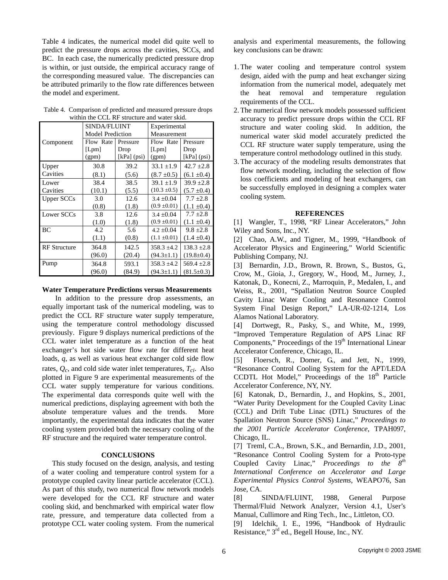Table 4 indicates, the numerical model did quite well to predict the pressure drops across the cavities, SCCs, and BC. In each case, the numerically predicted pressure drop is within, or just outside, the empirical accuracy range of the corresponding measured value. The discrepancies can be attributed primarily to the flow rate differences between the model and experiment.

|                     | SINDA/FLUINT            |             | Experimental     |                  |  |
|---------------------|-------------------------|-------------|------------------|------------------|--|
|                     | <b>Model Prediction</b> |             | Measurement      |                  |  |
| Component           | Flow Rate               | Pressure    | Flow Rate        | Pressure         |  |
|                     | [Lpm]                   | Drop        | [Lpm]            | Drop             |  |
|                     | (gpm)                   | [kPa] (psi) | (gpm)            | $[kPa]$ (psi)    |  |
| Upper               | 30.8                    | 39.2        | $33.1 \pm 1.9$   | $42.7 \pm 2.8$   |  |
| Cavities            | (8.1)                   | (5.6)       | $(8.7 \pm 0.5)$  | $(6.1 \pm 0.4)$  |  |
| Lower               | 38.4                    | 38.5        | $39.1 \pm 1.9$   | $39.9 \pm 2.8$   |  |
| Cavities            | (10.1)                  | (5.5)       | $(10.3 \pm 0.5)$ | $(5.7 \pm 0.4)$  |  |
| <b>Upper SCCs</b>   | 3.0                     | 12.6        | $3.4 \pm 0.04$   | $7.7 \pm 2.8$    |  |
|                     | (0.8)                   | (1.8)       | $(0.9 \pm 0.01)$ | $(1.1 \pm 0.4)$  |  |
| Lower SCCs          | 3.8                     | 12.6        | $3.4 + 0.04$     | $7.7 \pm 2.8$    |  |
|                     | (1.0)                   | (1.8)       | $(0.9 \pm 0.01)$ | $(1.1 \pm 0.4)$  |  |
| BC                  | 4.2                     | 5.6         | $4.2 \pm 0.04$   | $9.8 \pm 2.8$    |  |
|                     | (1.1)                   | (0.8)       | $(1.1 \pm 0.01)$ | $(1.4 \pm 0.4)$  |  |
| <b>RF</b> Structure | 364.8                   | 142.5       | $358.3 \pm 4.2$  | $138.3 \pm 2.8$  |  |
|                     | (96.0)                  | (20.4)      | $(94.3 \pm 1.1)$ | $(19.8 \pm 0.4)$ |  |
| Pump                | 364.8                   | 593.1       | $358.3 \pm 4.2$  | $569.4 \pm 2.8$  |  |
|                     | (96.0)                  | (84.9)      | $(94.3 \pm 1.1)$ | $(81.5 \pm 0.3)$ |  |

Table 4. Comparison of predicted and measured pressure drops within the CCL RF structure and water skid.

#### **Water Temperature Predictions versus Measurements**

In addition to the pressure drop assessments, an equally important task of the numerical modeling, was to predict the CCL RF structure water supply temperature, using the temperature control methodology discussed previously. Figure 9 displays numerical predictions of the CCL water inlet temperature as a function of the heat exchanger's hot side water flow rate for different heat loads, *q*, as well as various heat exchanger cold side flow rates, *Qc*, and cold side water inlet temperatures, *Tci*. Also plotted in Figure 9 are experimental measurements of the CCL water supply temperature for various conditions. The experimental data corresponds quite well with the numerical predictions, displaying agreement with both the absolute temperature values and the trends. More importantly, the experimental data indicates that the water cooling system provided both the necessary cooling of the RF structure and the required water temperature control.

## **CONCLUSIONS**

This study focused on the design, analysis, and testing of a water cooling and temperature control system for a prototype coupled cavity linear particle accelerator (CCL). As part of this study, two numerical flow network models were developed for the CCL RF structure and water cooling skid, and benchmarked with empirical water flow rate, pressure, and temperature data collected from a prototype CCL water cooling system. From the numerical

analysis and experimental measurements, the following key conclusions can be drawn:

- 1.The water cooling and temperature control system design, aided with the pump and heat exchanger sizing information from the numerical model, adequately met the heat removal and temperature regulation requirements of the CCL.
- 2.The numerical flow network models possessed sufficient accuracy to predict pressure drops within the CCL RF structure and water cooling skid. In addition, the numerical water skid model accurately predicted the CCL RF structure water supply temperature, using the temperature control methodology outlined in this study.
- 3.The accuracy of the modeling results demonstrates that flow network modeling, including the selection of flow loss coefficients and modeling of heat exchangers, can be successfully employed in designing a complex water cooling system.

#### **REFERENCES**

[1] Wangler, T., 1998, "RF Linear Accelerators," John Wiley and Sons, Inc., NY.

[2] Chao, A.W., and Tigner, M., 1999, "Handbook of Accelerator Physics and Engineering," World Scientific Publishing Company, NJ.

[3] Bernardin, J.D., Brown, R. Brown, S., Bustos, G., Crow, M., Gioia, J., Gregory, W., Hood, M., Jurney, J., Katonak, D., Konecni, Z., Marroquin, P., Medalen, I., and Weiss, R., 2001, "Spallation Neutron Source Coupled Cavity Linac Water Cooling and Resonance Control System Final Design Report," LA-UR-02-1214, Los Alamos National Laboratory.

[4] Dortwegt, R., Pasky, S., and White, M., 1999, "Improved Temperature Regulation of APS Linac RF Components," Proceedings of the  $19<sup>th</sup>$  International Linear Accelerator Conference, Chicago, IL.

[5] Floersch, R., Domer, G., and Jett, N., 1999, "Resonance Control Cooling System for the APT/LEDA CCDTL Hot Model," Proceedings of the  $18<sup>th</sup>$  Particle Accelerator Conference, NY, NY.

[6] Katonak, D., Bernardin, J., and Hopkins, S., 2001, "Water Purity Development for the Coupled Cavity Linac (CCL) and Drift Tube Linac (DTL) Structures of the Spallation Neutron Source (SNS) Linac," *Proceedings to the 2001 Particle Accelerator Conference*, TPAH097, Chicago, IL.

[7] Treml, C.A., Brown, S.K., and Bernardin, J.D., 2001, "Resonance Control Cooling System for a Proto-type Coupled Cavity Linac," *Proceedings to the 8 th International Conference on Accelerator and Large Experimental Physics Control Systems*, WEAPO76, San Jose, CA.

[8] SINDA/FLUINT, 1988, General Purpose Thermal/Fluid Network Analyzer, Version 4.1, User's Manual, Cullimore and Ring Tech., Inc., Littleton, CO.

Idelchik, I. E., 1996, "Handbook of Hydraulic Resistance," 3<sup>rd</sup> ed., Begell House, Inc., NY.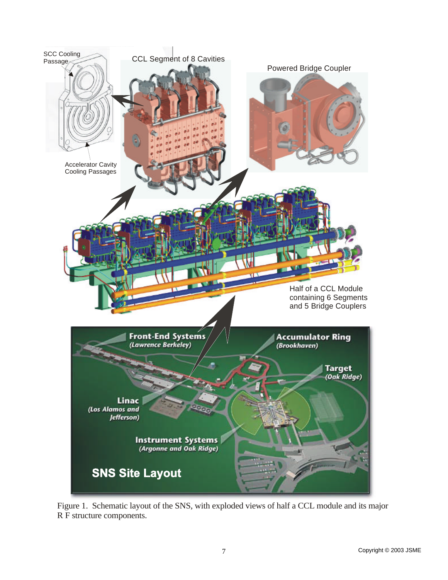

Figure 1. Schematic layout of the SNS, with exploded views of half a CCL module and its major R F structure components.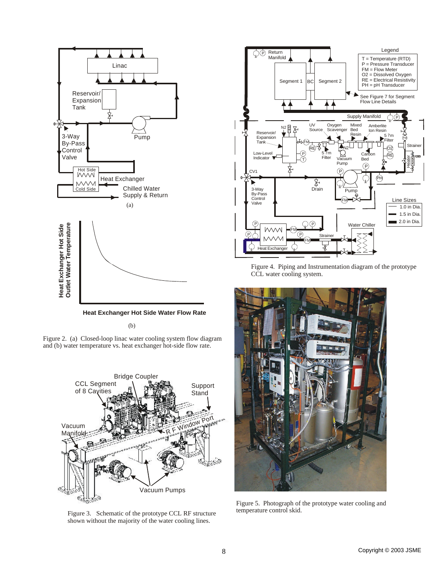

**Heat Exchanger Hot Side Water Flow Rate**

(b)

Figure 2. (a) Closed-loop linac water cooling system flow diagram and (b) water temperature vs. heat exchanger hot-side flow rate.



Figure 3. Schematic of the prototype CCL RF structure shown without the majority of the water cooling lines.



Figure 4. Piping and Instrumentation diagram of the prototype CCL water cooling system.



Figure 5. Photograph of the prototype water cooling and temperature control skid.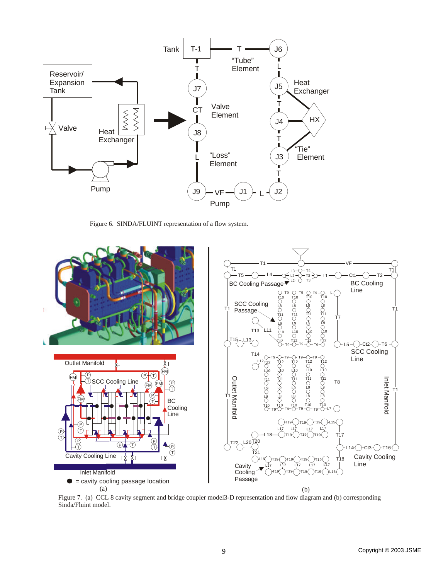

Figure 6. SINDA/FLUINT representation of a flow system.



Figure 7. (a) CCL 8 cavity segment and bridge coupler model3-D representation and flow diagram and (b) corresponding Sinda/Fluint model.